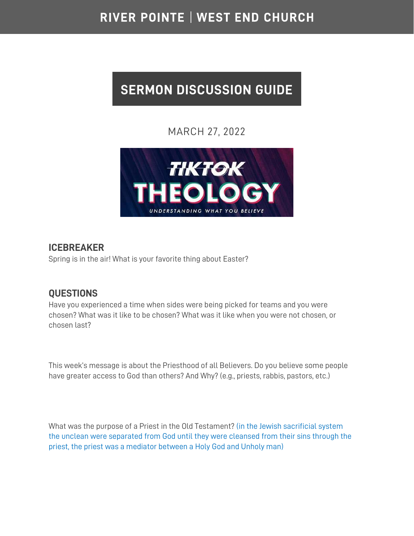# RIVER POINTE | WEST END CHURCH

# **SERMON DISCUSSION GUIDE**

## MARCH 27, 2022



#### **ICEBREAKER**

Spring is in the air! What is your favorite thing about Easter?

### **QUESTIONS**

Have you experienced a time when sides were being picked for teams and you were chosen? What was it like to be chosen? What was it like when you were not chosen, or chosen last?

This week's message is about the Priesthood of all Believers. Do you believe some people have greater access to God than others? And Why? (e.g., priests, rabbis, pastors, etc.)

What was the purpose of a Priest in the Old Testament? (in the Jewish sacrificial system the unclean were separated from God until they were cleansed from their sins through the priest, the priest was a mediator between a Holy God and Unholy man)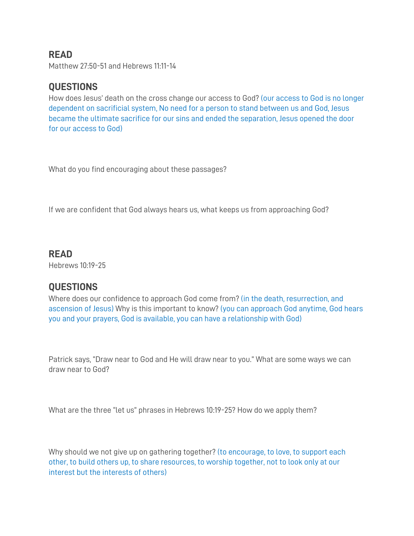#### **READ**

Matthew 27:50-51 and Hebrews 11:11-14

#### **QUESTIONS**

How does Jesus' death on the cross change our access to God? (our access to God is no longer dependent on sacrificial system, No need for a person to stand between us and God, Jesus became the ultimate sacrifice for our sins and ended the separation, Jesus opened the door for our access to God)

What do you find encouraging about these passages?

If we are confident that God always hears us, what keeps us from approaching God?

#### **READ**

Hebrews 10:19-25

#### **QUESTIONS**

Where does our confidence to approach God come from? (in the death, resurrection, and ascension of Jesus) Why is this important to know? (you can approach God anytime, God hears you and your prayers, God is available, you can have a relationship with God)

Patrick says, "Draw near to God and He will draw near to you." What are some ways we can draw near to God?

What are the three "let us" phrases in Hebrews 10:19-25? How do we apply them?

Why should we not give up on gathering together? (to encourage, to love, to support each other, to build others up, to share resources, to worship together, not to look only at our interest but the interests of others)